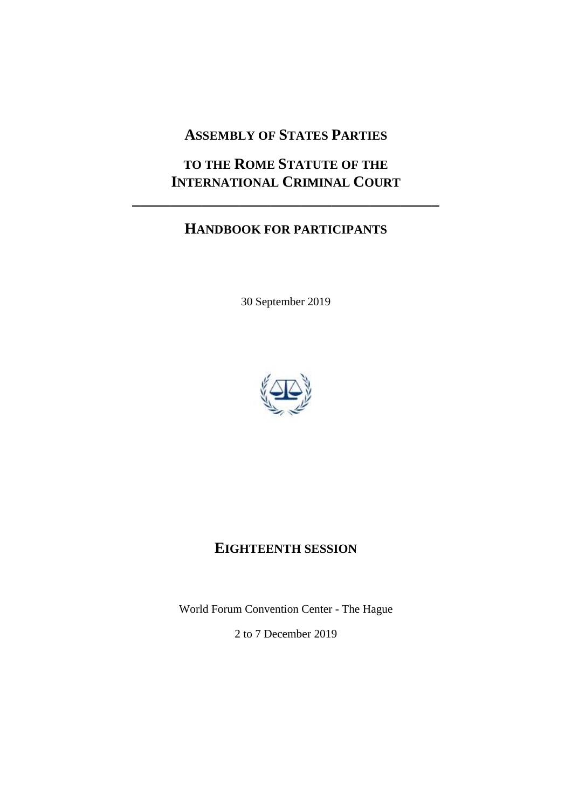# **ASSEMBLY OF STATES PARTIES**

# **TO THE ROME STATUTE OF THE INTERNATIONAL CRIMINAL COURT**

**\_\_\_\_\_\_\_\_\_\_\_\_\_\_\_\_\_\_\_\_\_\_\_\_\_\_\_\_\_\_\_\_\_\_\_\_\_\_\_\_**

# **HANDBOOK FOR PARTICIPANTS**

30 September 2019



# **EIGHTEENTH SESSION**

World Forum Convention Center - The Hague 2 to 7 December 2019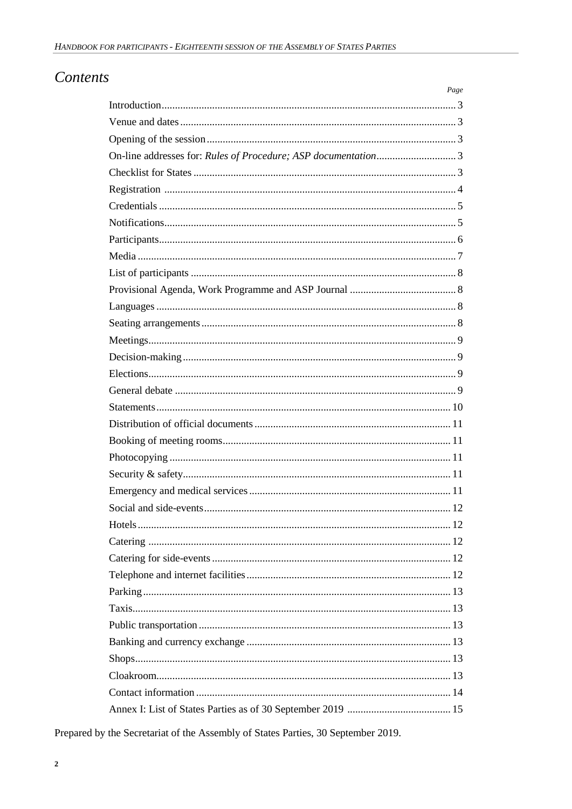# **Contents**

| Page |
|------|
|      |
|      |
|      |
|      |
|      |
|      |
|      |
|      |
|      |
|      |
|      |
|      |
|      |
|      |
|      |
|      |
|      |
|      |
|      |
|      |
|      |
|      |
|      |
|      |
|      |
|      |
|      |
|      |
|      |
|      |
|      |
|      |
|      |
|      |
|      |
|      |
|      |

Prepared by the Secretariat of the Assembly of States Parties, 30 September 2019.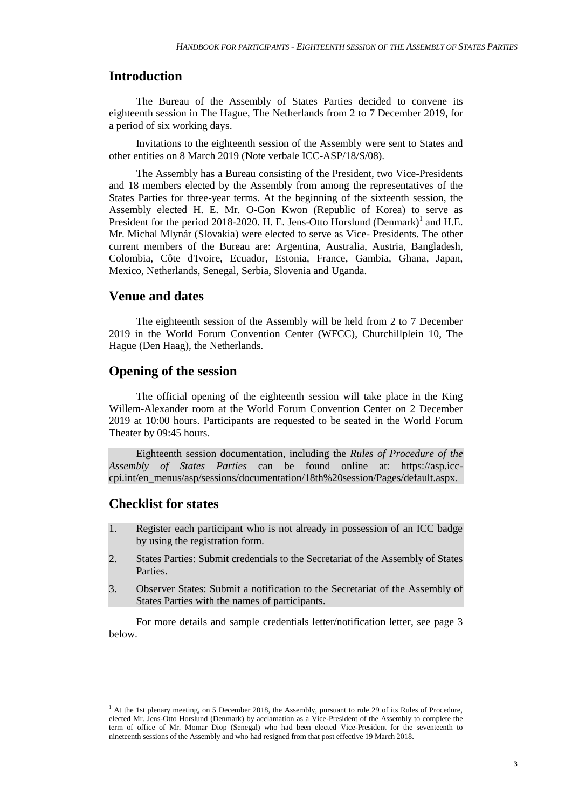## **Introduction**

The Bureau of the Assembly of States Parties decided to convene its eighteenth session in The Hague, The Netherlands from 2 to 7 December 2019, for a period of six working days.

Invitations to the eighteenth session of the Assembly were sent to States and other entities on 8 March 2019 (Note verbale ICC-ASP/18/S/08).

The Assembly has a Bureau consisting of the President, two Vice-Presidents and 18 members elected by the Assembly from among the representatives of the States Parties for three-year terms. At the beginning of the sixteenth session, the Assembly elected H. E. Mr. O-Gon Kwon (Republic of Korea) to serve as President for the period 2018-2020. H. E. Jens-Otto Horslund (Denmark)<sup>1</sup> and H.E. Mr. Michal Mlynár (Slovakia) were elected to serve as Vice- Presidents. The other current members of the Bureau are: Argentina, Australia, Austria, Bangladesh, Colombia, Côte d'Ivoire, Ecuador, Estonia, France, Gambia, Ghana, Japan, Mexico, Netherlands, Senegal, Serbia, Slovenia and Uganda.

### **Venue and dates**

The eighteenth session of the Assembly will be held from 2 to 7 December 2019 in the World Forum Convention Center (WFCC), Churchillplein 10, The Hague (Den Haag), the Netherlands.

#### **Opening of the session**

The official opening of the eighteenth session will take place in the King Willem-Alexander room at the World Forum Convention Center on 2 December 2019 at 10:00 hours. Participants are requested to be seated in the World Forum Theater by 09:45 hours.

Eighteenth session documentation, including the *Rules of Procedure of the Assembly of States Parties* can be found online at: https://asp.icccpi.int/en\_menus/asp/sessions/documentation/18th%20session/Pages/default.aspx.

## **Checklist for states**

 $\overline{a}$ 

- 1. Register each participant who is not already in possession of an ICC badge by using the registration form.
- 2. States Parties: Submit credentials to the Secretariat of the Assembly of States Parties.
- 3. Observer States: Submit a notification to the Secretariat of the Assembly of States Parties with the names of participants.

For more details and sample credentials letter/notification letter, see page 3 below.

<sup>&</sup>lt;sup>1</sup> At the 1st plenary meeting, on 5 December 2018, the Assembly, pursuant to rule 29 of its Rules of Procedure, elected Mr. Jens-Otto Horslund (Denmark) by acclamation as a Vice-President of the Assembly to complete the term of office of Mr. Momar Diop (Senegal) who had been elected Vice-President for the seventeenth to nineteenth sessions of the Assembly and who had resigned from that post effective 19 March 2018.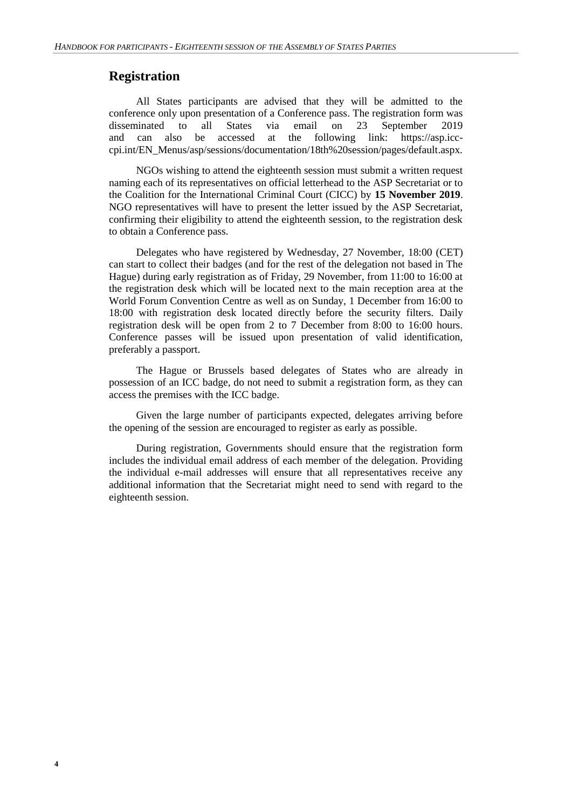## **Registration**

All States participants are advised that they will be admitted to the conference only upon presentation of a Conference pass. The registration form was disseminated to all States via email on 23 September 2019 and can also be accessed at the following link: https://asp.icccpi.int/EN\_Menus/asp/sessions/documentation/18th%20session/pages/default.aspx.

NGOs wishing to attend the eighteenth session must submit a written request naming each of its representatives on official letterhead to the ASP Secretariat or to the Coalition for the International Criminal Court (CICC) by **15 November 2019**. NGO representatives will have to present the letter issued by the ASP Secretariat, confirming their eligibility to attend the eighteenth session, to the registration desk to obtain a Conference pass.

Delegates who have registered by Wednesday, 27 November, 18:00 (CET) can start to collect their badges (and for the rest of the delegation not based in The Hague) during early registration as of Friday, 29 November, from 11:00 to 16:00 at the registration desk which will be located next to the main reception area at the World Forum Convention Centre as well as on Sunday, 1 December from 16:00 to 18:00 with registration desk located directly before the security filters. Daily registration desk will be open from 2 to 7 December from 8:00 to 16:00 hours. Conference passes will be issued upon presentation of valid identification, preferably a passport.

The Hague or Brussels based delegates of States who are already in possession of an ICC badge, do not need to submit a registration form, as they can access the premises with the ICC badge.

Given the large number of participants expected, delegates arriving before the opening of the session are encouraged to register as early as possible.

During registration, Governments should ensure that the registration form includes the individual email address of each member of the delegation. Providing the individual e-mail addresses will ensure that all representatives receive any additional information that the Secretariat might need to send with regard to the eighteenth session.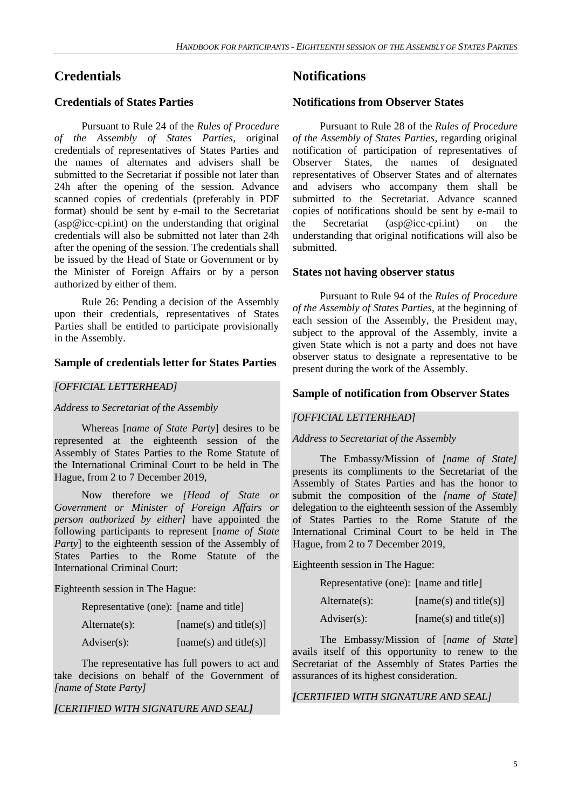# **Credentials**

## **Credentials of States Parties**

Pursuant to Rule 24 of the *Rules of Procedure of the Assembly of States Parties*, original credentials of representatives of States Parties and the names of alternates and advisers shall be submitted to the Secretariat if possible not later than 24h after the opening of the session. Advance scanned copies of credentials (preferably in PDF format) should be sent by e-mail to the Secretariat  $(asp@icc-cpi.int)$  on the understanding that original credentials will also be submitted not later than 24h after the opening of the session. The credentials shall be issued by the Head of State or Government or by the Minister of Foreign Affairs or by a person authorized by either of them.

Rule 26: Pending a decision of the Assembly upon their credentials, representatives of States Parties shall be entitled to participate provisionally in the Assembly.

#### **Sample of credentials letter for States Parties**

#### *[OFFICIAL LETTERHEAD]*

*Address to Secretariat of the Assembly*

Whereas [*name of State Party*] desires to be represented at the eighteenth session of the Assembly of States Parties to the Rome Statute of the International Criminal Court to be held in The Hague, from 2 to 7 December 2019,

Now therefore we *[Head of State or Government or Minister of Foreign Affairs or person authorized by either]* have appointed the following participants to represent [*name of State Party*] to the eighteenth session of the Assembly of States Parties to the Rome Statute of the International Criminal Court:

Eighteenth session in The Hague:

| $Alternate(s)$ : | $[name(s)$ and title(s)] |
|------------------|--------------------------|
| Adviser(s):      | [name(s) and title(s)]   |

The representative has full powers to act and take decisions on behalf of the Government of *[name of State Party]*

#### *[CERTIFIED WITH SIGNATURE AND SEAL]*

## **Notifications**

#### **Notifications from Observer States**

Pursuant to Rule 28 of the *Rules of Procedure of the Assembly of States Parties*, regarding original notification of participation of representatives of Observer States, the names of designated representatives of Observer States and of alternates and advisers who accompany them shall be submitted to the Secretariat. Advance scanned copies of notifications should be sent by e-mail to the Secretariat (asp@icc-cpi.int) on the understanding that original notifications will also be submitted.

#### **States not having observer status**

Pursuant to Rule 94 of the *Rules of Procedure of the Assembly of States Parties*, at the beginning of each session of the Assembly, the President may, subject to the approval of the Assembly, invite a given State which is not a party and does not have observer status to designate a representative to be present during the work of the Assembly.

#### **Sample of notification from Observer States**

#### *[OFFICIAL LETTERHEAD]*

#### *Address to Secretariat of the Assembly*

The Embassy/Mission of *[name of State]* presents its compliments to the Secretariat of the Assembly of States Parties and has the honor to submit the composition of the *[name of State]* delegation to the eighteenth session of the Assembly of States Parties to the Rome Statute of the International Criminal Court to be held in The Hague, from 2 to 7 December 2019,

Eighteenth session in The Hague:

Representative (one): [name and title]

| $Alternate(s)$ :      | $[name(s)$ and title(s)] |
|-----------------------|--------------------------|
| $\text{Adviser}(s)$ : | [name(s) and title(s)]   |

The Embassy/Mission of [*name of State*] avails itself of this opportunity to renew to the Secretariat of the Assembly of States Parties the assurances of its highest consideration.

#### *[CERTIFIED WITH SIGNATURE AND SEAL]*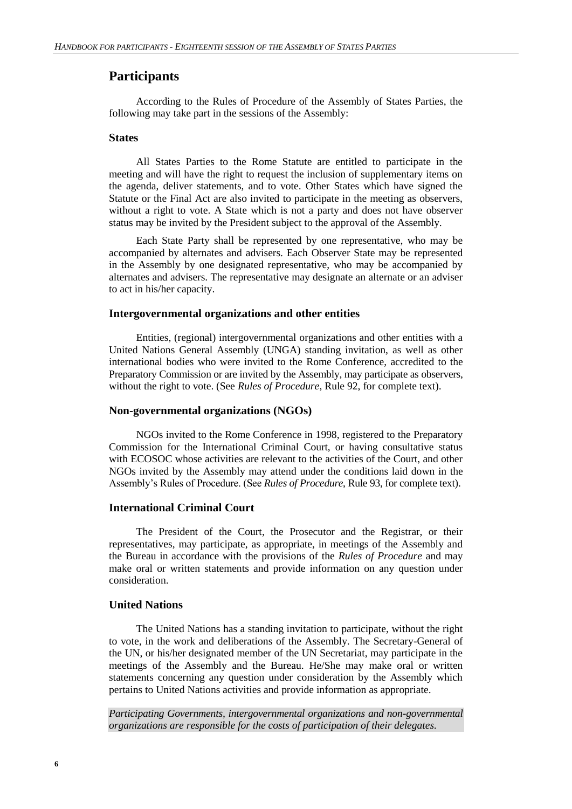## **Participants**

According to the Rules of Procedure of the Assembly of States Parties, the following may take part in the sessions of the Assembly:

#### **States**

All States Parties to the Rome Statute are entitled to participate in the meeting and will have the right to request the inclusion of supplementary items on the agenda, deliver statements, and to vote. Other States which have signed the Statute or the Final Act are also invited to participate in the meeting as observers, without a right to vote. A State which is not a party and does not have observer status may be invited by the President subject to the approval of the Assembly.

Each State Party shall be represented by one representative, who may be accompanied by alternates and advisers. Each Observer State may be represented in the Assembly by one designated representative, who may be accompanied by alternates and advisers. The representative may designate an alternate or an adviser to act in his/her capacity.

#### **Intergovernmental organizations and other entities**

Entities, (regional) intergovernmental organizations and other entities with a United Nations General Assembly (UNGA) standing invitation, as well as other international bodies who were invited to the Rome Conference, accredited to the Preparatory Commission or are invited by the Assembly, may participate as observers, without the right to vote. (See *Rules of Procedure*, Rule 92, for complete text).

#### **Non-governmental organizations (NGOs)**

NGOs invited to the Rome Conference in 1998, registered to the Preparatory Commission for the International Criminal Court, or having consultative status with ECOSOC whose activities are relevant to the activities of the Court, and other NGOs invited by the Assembly may attend under the conditions laid down in the Assembly's Rules of Procedure. (See *Rules of Procedure*, Rule 93, for complete text).

#### **International Criminal Court**

The President of the Court, the Prosecutor and the Registrar, or their representatives, may participate, as appropriate, in meetings of the Assembly and the Bureau in accordance with the provisions of the *Rules of Procedure* and may make oral or written statements and provide information on any question under consideration.

### **United Nations**

The United Nations has a standing invitation to participate, without the right to vote, in the work and deliberations of the Assembly. The Secretary-General of the UN, or his/her designated member of the UN Secretariat, may participate in the meetings of the Assembly and the Bureau. He/She may make oral or written statements concerning any question under consideration by the Assembly which pertains to United Nations activities and provide information as appropriate.

*Participating Governments, intergovernmental organizations and non-governmental organizations are responsible for the costs of participation of their delegates.*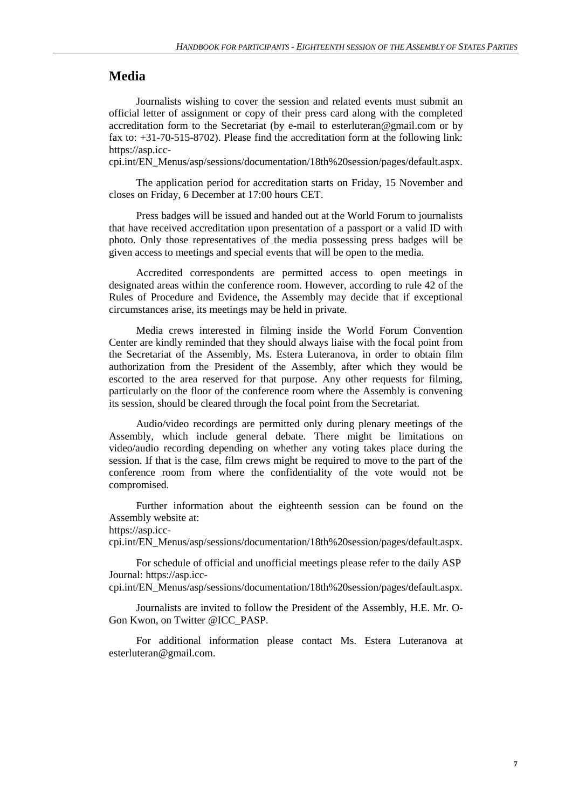### **Media**

Journalists wishing to cover the session and related events must submit an official letter of assignment or copy of their press card along with the completed accreditation form to the Secretariat (by e-mail to esterluteran@gmail.com or by fax to: +31-70-515-8702). Please find the accreditation form at the following link: https://asp.icc-

cpi.int/EN\_Menus/asp/sessions/documentation/18th%20session/pages/default.aspx.

The application period for accreditation starts on Friday, 15 November and closes on Friday, 6 December at 17:00 hours CET.

Press badges will be issued and handed out at the World Forum to journalists that have received accreditation upon presentation of a passport or a valid ID with photo. Only those representatives of the media possessing press badges will be given access to meetings and special events that will be open to the media.

Accredited correspondents are permitted access to open meetings in designated areas within the conference room. However, according to rule 42 of the Rules of Procedure and Evidence, the Assembly may decide that if exceptional circumstances arise, its meetings may be held in private.

Media crews interested in filming inside the World Forum Convention Center are kindly reminded that they should always liaise with the focal point from the Secretariat of the Assembly, Ms. Estera Luteranova, in order to obtain film authorization from the President of the Assembly, after which they would be escorted to the area reserved for that purpose. Any other requests for filming, particularly on the floor of the conference room where the Assembly is convening its session, should be cleared through the focal point from the Secretariat.

Audio/video recordings are permitted only during plenary meetings of the Assembly, which include general debate. There might be limitations on video/audio recording depending on whether any voting takes place during the session. If that is the case, film crews might be required to move to the part of the conference room from where the confidentiality of the vote would not be compromised.

Further information about the eighteenth session can be found on the Assembly website at:

https://asp.icc-

cpi.int/EN\_Menus/asp/sessions/documentation/18th%20session/pages/default.aspx.

For schedule of official and unofficial meetings please refer to the daily ASP Journal: https://asp.icc-

cpi.int/EN\_Menus/asp/sessions/documentation/18th%20session/pages/default.aspx.

Journalists are invited to follow the President of the Assembly, H.E. Mr. O-Gon Kwon, on Twitter @ICC\_PASP.

For additional information please contact Ms. Estera Luteranova at esterluteran@gmail.com.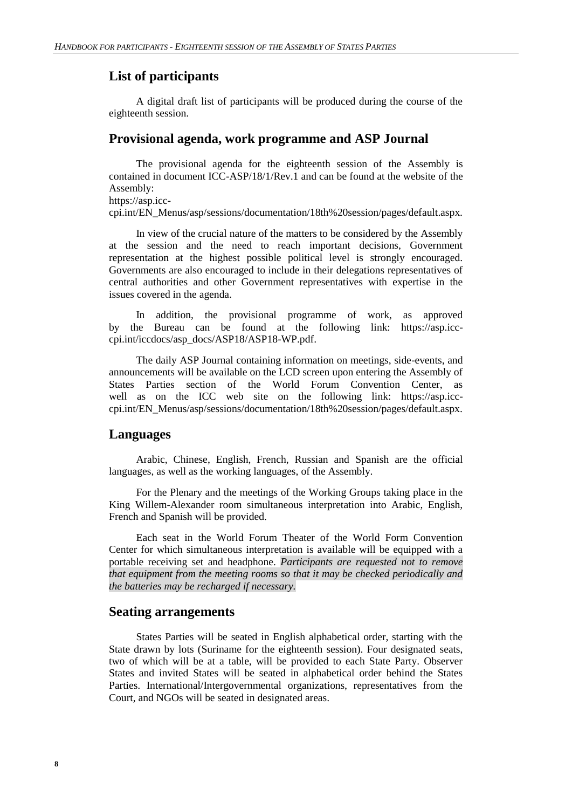## **List of participants**

A digital draft list of participants will be produced during the course of the eighteenth session.

## **Provisional agenda, work programme and ASP Journal**

The provisional agenda for the eighteenth session of the Assembly is contained in document ICC-ASP/18/1/Rev.1 and can be found at the website of the Assembly: https://asp.icc-

cpi.int/EN\_Menus/asp/sessions/documentation/18th%20session/pages/default.aspx.

In view of the crucial nature of the matters to be considered by the Assembly at the session and the need to reach important decisions, Government representation at the highest possible political level is strongly encouraged. Governments are also encouraged to include in their delegations representatives of central authorities and other Government representatives with expertise in the issues covered in the agenda.

In addition, the provisional programme of work, as approved by the Bureau can be found at the following link: https://asp.icccpi.int/iccdocs/asp\_docs/ASP18/ASP18-WP.pdf.

The daily ASP Journal containing information on meetings, side-events, and announcements will be available on the LCD screen upon entering the Assembly of States Parties section of the World Forum Convention Center, as well as on the ICC web site on the following link: https://asp.icccpi.int/EN\_Menus/asp/sessions/documentation/18th%20session/pages/default.aspx.

#### **Languages**

Arabic, Chinese, English, French, Russian and Spanish are the official languages, as well as the working languages, of the Assembly.

For the Plenary and the meetings of the Working Groups taking place in the King Willem-Alexander room simultaneous interpretation into Arabic, English, French and Spanish will be provided.

Each seat in the World Forum Theater of the World Form Convention Center for which simultaneous interpretation is available will be equipped with a portable receiving set and headphone. *Participants are requested not to remove that equipment from the meeting rooms so that it may be checked periodically and the batteries may be recharged if necessary.*

#### **Seating arrangements**

States Parties will be seated in English alphabetical order, starting with the State drawn by lots (Suriname for the eighteenth session). Four designated seats, two of which will be at a table, will be provided to each State Party. Observer States and invited States will be seated in alphabetical order behind the States Parties. International/Intergovernmental organizations, representatives from the Court, and NGOs will be seated in designated areas.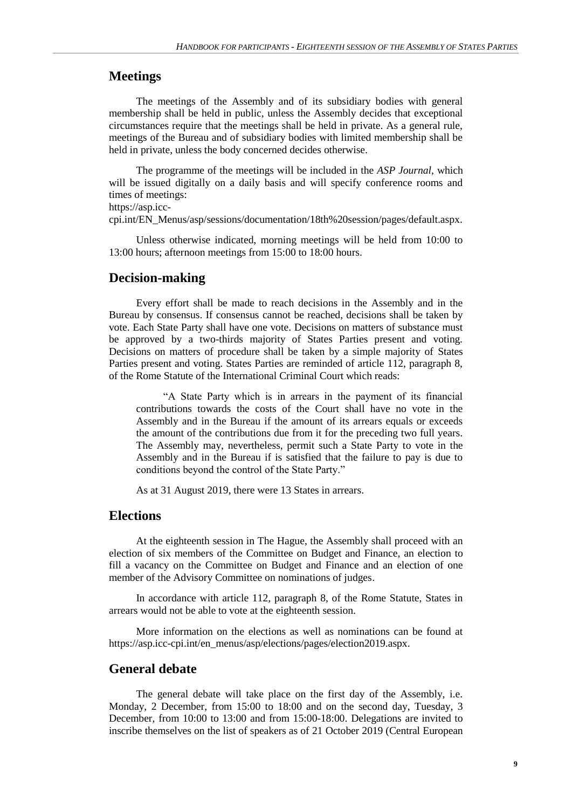## **Meetings**

The meetings of the Assembly and of its subsidiary bodies with general membership shall be held in public, unless the Assembly decides that exceptional circumstances require that the meetings shall be held in private. As a general rule, meetings of the Bureau and of subsidiary bodies with limited membership shall be held in private, unless the body concerned decides otherwise.

The programme of the meetings will be included in the *ASP Journal*, which will be issued digitally on a daily basis and will specify conference rooms and times of meetings:

```
https://asp.icc-
```
cpi.int/EN\_Menus/asp/sessions/documentation/18th%20session/pages/default.aspx.

Unless otherwise indicated, morning meetings will be held from 10:00 to 13:00 hours; afternoon meetings from 15:00 to 18:00 hours.

### **Decision-making**

Every effort shall be made to reach decisions in the Assembly and in the Bureau by consensus. If consensus cannot be reached, decisions shall be taken by vote. Each State Party shall have one vote. Decisions on matters of substance must be approved by a two-thirds majority of States Parties present and voting. Decisions on matters of procedure shall be taken by a simple majority of States Parties present and voting. States Parties are reminded of article 112, paragraph 8, of the Rome Statute of the International Criminal Court which reads:

"A State Party which is in arrears in the payment of its financial contributions towards the costs of the Court shall have no vote in the Assembly and in the Bureau if the amount of its arrears equals or exceeds the amount of the contributions due from it for the preceding two full years. The Assembly may, nevertheless, permit such a State Party to vote in the Assembly and in the Bureau if is satisfied that the failure to pay is due to conditions beyond the control of the State Party."

As at 31 August 2019, there were 13 States in arrears.

### **Elections**

At the eighteenth session in The Hague, the Assembly shall proceed with an election of six members of the Committee on Budget and Finance, an election to fill a vacancy on the Committee on Budget and Finance and an election of one member of the Advisory Committee on nominations of judges.

In accordance with article 112, paragraph 8, of the Rome Statute, States in arrears would not be able to vote at the eighteenth session.

More information on the elections as well as nominations can be found at https://asp.icc-cpi.int/en\_menus/asp/elections/pages/election2019.aspx.

#### **General debate**

The general debate will take place on the first day of the Assembly, i.e. Monday, 2 December, from 15:00 to 18:00 and on the second day, Tuesday, 3 December, from 10:00 to 13:00 and from 15:00-18:00. Delegations are invited to inscribe themselves on the list of speakers as of 21 October 2019 (Central European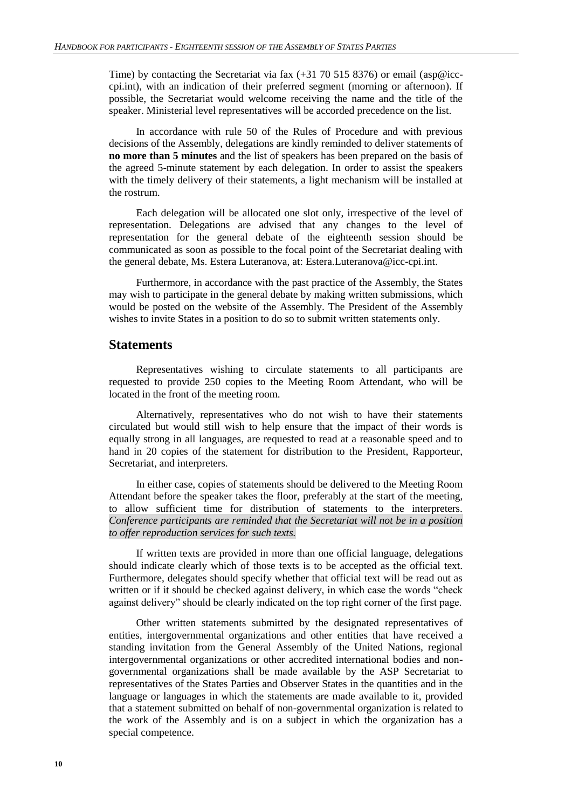Time) by contacting the Secretariat via fax (+31 70 515 8376) or email (asp@icccpi.int), with an indication of their preferred segment (morning or afternoon). If possible, the Secretariat would welcome receiving the name and the title of the speaker. Ministerial level representatives will be accorded precedence on the list.

In accordance with rule 50 of the Rules of Procedure and with previous decisions of the Assembly, delegations are kindly reminded to deliver statements of **no more than 5 minutes** and the list of speakers has been prepared on the basis of the agreed 5-minute statement by each delegation. In order to assist the speakers with the timely delivery of their statements, a light mechanism will be installed at the rostrum.

Each delegation will be allocated one slot only, irrespective of the level of representation. Delegations are advised that any changes to the level of representation for the general debate of the eighteenth session should be communicated as soon as possible to the focal point of the Secretariat dealing with the general debate, Ms. Estera Luteranova, at: Estera.Luteranova@icc-cpi.int.

Furthermore, in accordance with the past practice of the Assembly, the States may wish to participate in the general debate by making written submissions, which would be posted on the website of the Assembly. The President of the Assembly wishes to invite States in a position to do so to submit written statements only.

#### **Statements**

Representatives wishing to circulate statements to all participants are requested to provide 250 copies to the Meeting Room Attendant, who will be located in the front of the meeting room.

Alternatively, representatives who do not wish to have their statements circulated but would still wish to help ensure that the impact of their words is equally strong in all languages, are requested to read at a reasonable speed and to hand in 20 copies of the statement for distribution to the President, Rapporteur, Secretariat, and interpreters.

In either case, copies of statements should be delivered to the Meeting Room Attendant before the speaker takes the floor, preferably at the start of the meeting, to allow sufficient time for distribution of statements to the interpreters. *Conference participants are reminded that the Secretariat will not be in a position to offer reproduction services for such texts.*

If written texts are provided in more than one official language, delegations should indicate clearly which of those texts is to be accepted as the official text. Furthermore, delegates should specify whether that official text will be read out as written or if it should be checked against delivery, in which case the words "check against delivery" should be clearly indicated on the top right corner of the first page.

Other written statements submitted by the designated representatives of entities, intergovernmental organizations and other entities that have received a standing invitation from the General Assembly of the United Nations, regional intergovernmental organizations or other accredited international bodies and nongovernmental organizations shall be made available by the ASP Secretariat to representatives of the States Parties and Observer States in the quantities and in the language or languages in which the statements are made available to it, provided that a statement submitted on behalf of non-governmental organization is related to the work of the Assembly and is on a subject in which the organization has a special competence.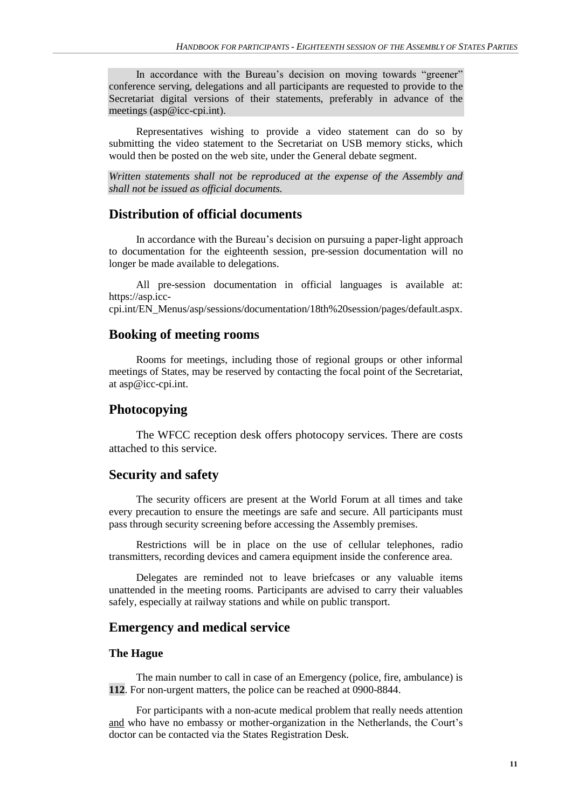In accordance with the Bureau's decision on moving towards "greener" conference serving, delegations and all participants are requested to provide to the Secretariat digital versions of their statements, preferably in advance of the meetings (asp@icc-cpi.int).

Representatives wishing to provide a video statement can do so by submitting the video statement to the Secretariat on USB memory sticks, which would then be posted on the web site, under the General debate segment.

*Written statements shall not be reproduced at the expense of the Assembly and shall not be issued as official documents.*

#### **Distribution of official documents**

In accordance with the Bureau's decision on pursuing a paper-light approach to documentation for the eighteenth session, pre-session documentation will no longer be made available to delegations.

All pre-session documentation in official languages is available at: https://asp.icc-

cpi.int/EN\_Menus/asp/sessions/documentation/18th%20session/pages/default.aspx.

## **Booking of meeting rooms**

Rooms for meetings, including those of regional groups or other informal meetings of States, may be reserved by contacting the focal point of the Secretariat, at asp@icc-cpi.int.

#### **Photocopying**

The WFCC reception desk offers photocopy services. There are costs attached to this service.

#### **Security and safety**

The security officers are present at the World Forum at all times and take every precaution to ensure the meetings are safe and secure. All participants must pass through security screening before accessing the Assembly premises.

Restrictions will be in place on the use of cellular telephones, radio transmitters, recording devices and camera equipment inside the conference area.

Delegates are reminded not to leave briefcases or any valuable items unattended in the meeting rooms. Participants are advised to carry their valuables safely, especially at railway stations and while on public transport.

## **Emergency and medical service**

#### **The Hague**

The main number to call in case of an Emergency (police, fire, ambulance) is **112**. For non-urgent matters, the police can be reached at 0900-8844.

For participants with a non-acute medical problem that really needs attention and who have no embassy or mother-organization in the Netherlands, the Court's doctor can be contacted via the States Registration Desk.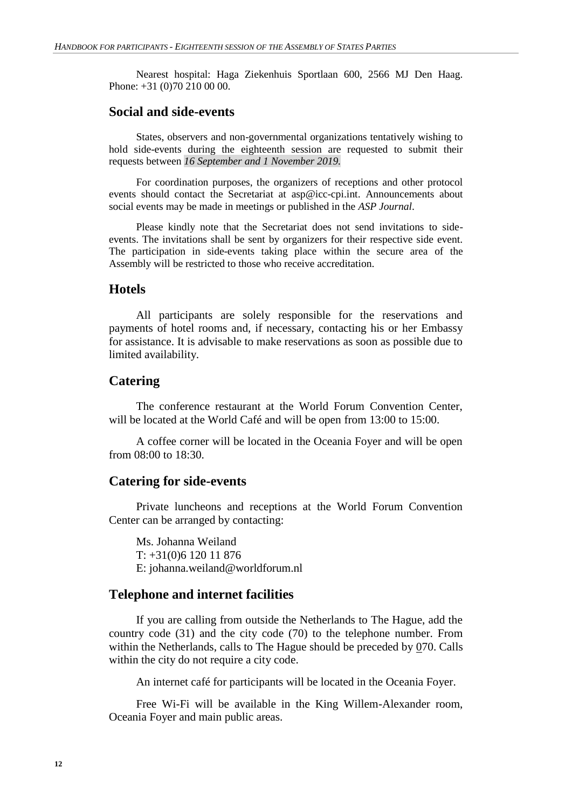Nearest hospital: Haga Ziekenhuis Sportlaan 600, 2566 MJ Den Haag. Phone: +31 (0)70 210 00 00.

## **Social and side-events**

States, observers and non-governmental organizations tentatively wishing to hold side-events during the eighteenth session are requested to submit their requests between *16 September and 1 November 2019.*

For coordination purposes, the organizers of receptions and other protocol events should contact the Secretariat at asp@icc-cpi.int. Announcements about social events may be made in meetings or published in the *ASP Journal*.

Please kindly note that the Secretariat does not send invitations to sideevents. The invitations shall be sent by organizers for their respective side event. The participation in side-events taking place within the secure area of the Assembly will be restricted to those who receive accreditation.

## **Hotels**

All participants are solely responsible for the reservations and payments of hotel rooms and, if necessary, contacting his or her Embassy for assistance. It is advisable to make reservations as soon as possible due to limited availability.

#### **Catering**

The conference restaurant at the World Forum Convention Center, will be located at the World Café and will be open from 13:00 to 15:00.

A coffee corner will be located in the Oceania Foyer and will be open from 08:00 to 18:30.

## **Catering for side-events**

Private luncheons and receptions at the World Forum Convention Center can be arranged by contacting:

Ms. Johanna Weiland T: +31(0)6 120 11 876 E: johanna.weiland@worldforum.nl

## **Telephone and internet facilities**

If you are calling from outside the Netherlands to The Hague, add the country code (31) and the city code (70) to the telephone number. From within the Netherlands, calls to The Hague should be preceded by  $\overline{070}$ . Calls within the city do not require a city code.

An internet café for participants will be located in the Oceania Foyer.

Free Wi-Fi will be available in the King Willem-Alexander room, Oceania Foyer and main public areas.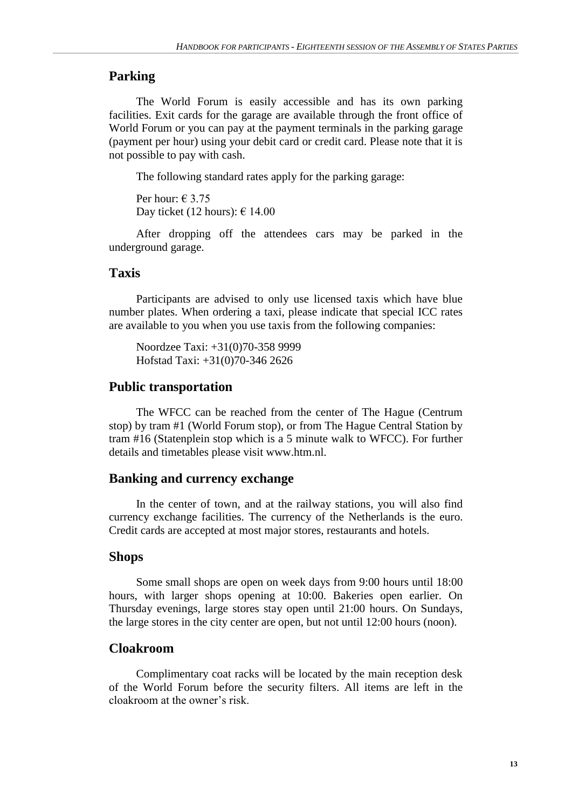## **Parking**

The World Forum is easily accessible and has its own parking facilities. Exit cards for the garage are available through the front office of World Forum or you can pay at the payment terminals in the parking garage (payment per hour) using your debit card or credit card. Please note that it is not possible to pay with cash.

The following standard rates apply for the parking garage:

Per hour:  $\in$  3.75 Day ticket (12 hours):  $\epsilon$  14.00

After dropping off the attendees cars may be parked in the underground garage.

## **Taxis**

Participants are advised to only use licensed taxis which have blue number plates. When ordering a taxi, please indicate that special ICC rates are available to you when you use taxis from the following companies:

Noordzee Taxi: +31(0)70-358 9999 Hofstad Taxi: +31(0)70-346 2626

## **Public transportation**

The WFCC can be reached from the center of The Hague (Centrum stop) by tram #1 (World Forum stop), or from The Hague Central Station by tram #16 (Statenplein stop which is a 5 minute walk to WFCC). For further details and timetables please visit www.htm.nl.

### **Banking and currency exchange**

In the center of town, and at the railway stations, you will also find currency exchange facilities. The currency of the Netherlands is the euro. Credit cards are accepted at most major stores, restaurants and hotels.

#### **Shops**

Some small shops are open on week days from 9:00 hours until 18:00 hours, with larger shops opening at 10:00. Bakeries open earlier. On Thursday evenings, large stores stay open until 21:00 hours. On Sundays, the large stores in the city center are open, but not until 12:00 hours (noon).

## **Cloakroom**

Complimentary coat racks will be located by the main reception desk of the World Forum before the security filters. All items are left in the cloakroom at the owner's risk.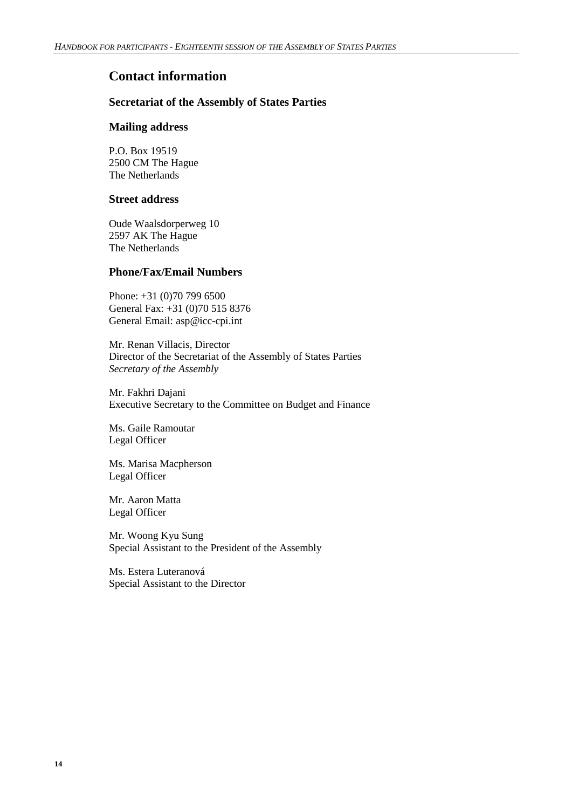## **Contact information**

## **Secretariat of the Assembly of States Parties**

#### **Mailing address**

P.O. Box 19519 2500 CM The Hague The Netherlands

#### **Street address**

Oude Waalsdorperweg 10 2597 AK The Hague The Netherlands

## **Phone/Fax/Email Numbers**

Phone: +31 (0)70 799 6500 General Fax: +31 (0)70 515 8376 General Email: asp@icc-cpi.int

Mr. Renan Villacis, Director Director of the Secretariat of the Assembly of States Parties *Secretary of the Assembly*

Mr. Fakhri Dajani Executive Secretary to the Committee on Budget and Finance

Ms. Gaile Ramoutar Legal Officer

Ms. Marisa Macpherson Legal Officer

Mr. Aaron Matta Legal Officer

Mr. Woong Kyu Sung Special Assistant to the President of the Assembly

Ms. Estera Luteranová Special Assistant to the Director